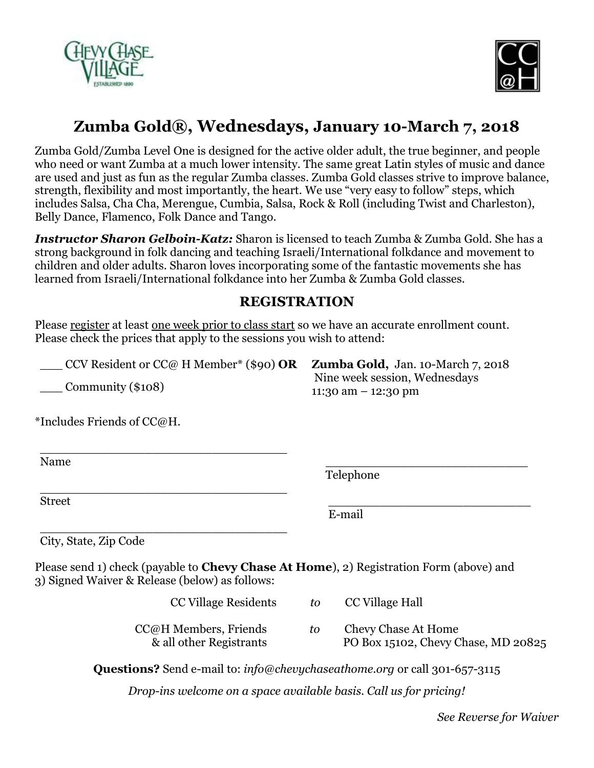



## **Zumba Gold®, Wednesdays, January 10-March 7, 2018**

Zumba Gold/Zumba Level One is designed for the active older adult, the true beginner, and people who need or want Zumba at a much lower intensity. The same great Latin styles of music and dance are used and just as fun as the regular Zumba classes. Zumba Gold classes strive to improve balance, strength, flexibility and most importantly, the heart. We use "very easy to follow" steps, which includes Salsa, Cha Cha, Merengue, Cumbia, Salsa, Rock & Roll (including Twist and Charleston), Belly Dance, Flamenco, Folk Dance and Tango.

*Instructor Sharon Gelboin-Katz:* Sharon is licensed to teach Zumba & Zumba Gold. She has a strong background in folk dancing and teaching Israeli/International folkdance and movement to children and older adults. Sharon loves incorporating some of the fantastic movements she has learned from Israeli/International folkdance into her Zumba & Zumba Gold classes.

## **REGISTRATION**

Please register at least one week prior to class start so we have an accurate enrollment count. Please check the prices that apply to the sessions you wish to attend:

\_\_\_ CCV Resident or CC@ H Member\* (\$90) **OR**

\_\_\_\_\_\_\_\_\_\_\_\_\_\_\_\_\_\_\_\_\_\_\_\_\_\_\_\_\_\_\_\_\_

\_\_\_\_\_\_\_\_\_\_\_\_\_\_\_\_\_\_\_\_\_\_\_\_\_\_\_\_\_\_\_\_\_

\_\_\_ Community (\$108)

**Zumba Gold,** Jan. 10-March 7, 2018 Nine week session, Wednesdays 11:30 am – 12:30 pm

\*Includes Friends of CC@H.

Name **Now the Contract of the Contract of the Contract of the Contract of the Contract of the Contract of the Contract of the Contract of the Contract of the Contract of the Contract of the Contract of the Contract of the** 

Telephone

 $Street$ 

E-mail

\_\_\_\_\_\_\_\_\_\_\_\_\_\_\_\_\_\_\_\_\_\_\_\_\_\_\_\_\_\_\_\_\_ City, State, Zip Code

Please send 1) check (payable to **Chevy Chase At Home**), 2) Registration Form (above) and 3) Signed Waiver & Release (below) as follows:

| CC Village Residents                             | tΩ. | CC Village Hall                                            |
|--------------------------------------------------|-----|------------------------------------------------------------|
| CC@H Members, Friends<br>& all other Registrants | tο  | Chevy Chase At Home<br>PO Box 15102, Chevy Chase, MD 20825 |

**Questions?** Send e-mail to: *info@chevychaseathome.org* or call 301-657-3115

*Drop-ins welcome on a space available basis. Call us for pricing!*

*See Reverse for Waiver*